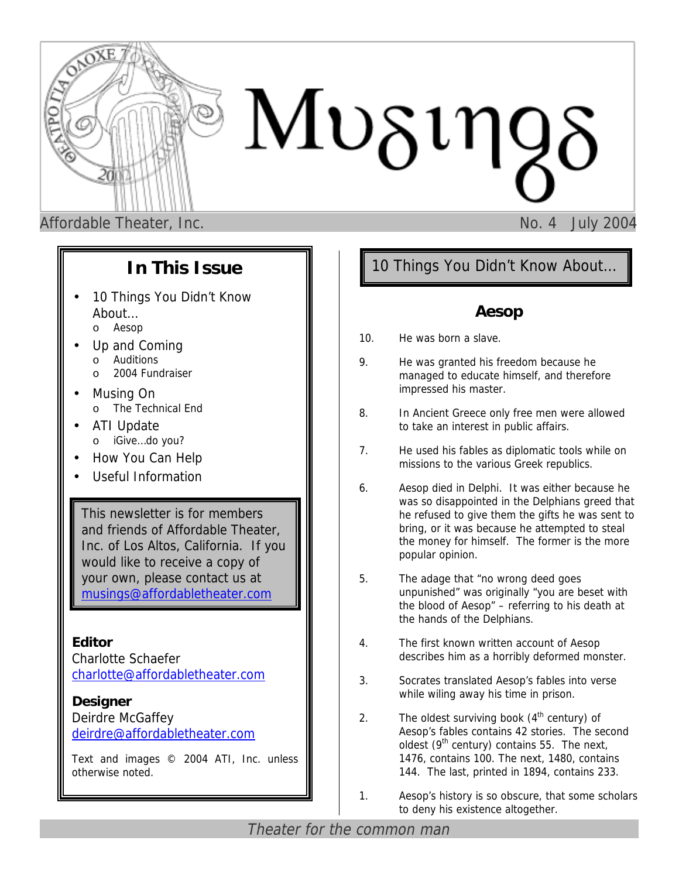

# **In This Issue**

- 10 Things You Didn't Know About… o Aesop
- Up and Coming o Auditions 2004 Fundraiser
- Musing On o The Technical End
- ATI Update o iGive…do you?
- How You Can Help
- Useful Information

This newsletter is for members and friends of Affordable Theater, Inc. of Los Altos, California. If you would like to receive a copy of your own, please contact us at [musings@affordabletheater.com](mailto:musings@affordabletheater.com)

**Editor**  Charlotte Schaefer c[harlotte@affordabletheater.com](mailto:charlotte@affordabletheater.com)

**Designer** Deirdre McGaffey d[eirdre@affordabletheater.com](mailto:deirdre@affordabletheater.com)

Text and images © 2004 ATI, Inc. unless otherwise noted.

# 10 Things You Didn't Know About…

## **Aesop**

- 10. He was born a slave.
- 9. He was granted his freedom because he managed to educate himself, and therefore impressed his master.
- 8. In Ancient Greece only free men were allowed to take an interest in public affairs.
- 7. He used his fables as diplomatic tools while on missions to the various Greek republics.
- 6. Aesop died in Delphi. It was either because he was so disappointed in the Delphians greed that he refused to give them the gifts he was sent to bring, or it was because he attempted to steal the money for himself. The former is the more popular opinion.
- 5. The adage that "no wrong deed goes unpunished" was originally "you are beset with the blood of Aesop" – referring to his death at the hands of the Delphians.
- 4. The first known written account of Aesop describes him as a horribly deformed monster.
- 3. Socrates translated Aesop's fables into verse while wiling away his time in prison.
- 2. The oldest surviving book  $(4<sup>th</sup>$  century) of Aesop's fables contains 42 stories. The second oldest ( $9<sup>th</sup>$  century) contains 55. The next, 1476, contains 100. The next, 1480, contains 144. The last, printed in 1894, contains 233.
- 1. Aesop's history is so obscure, that some scholars to deny his existence altogether.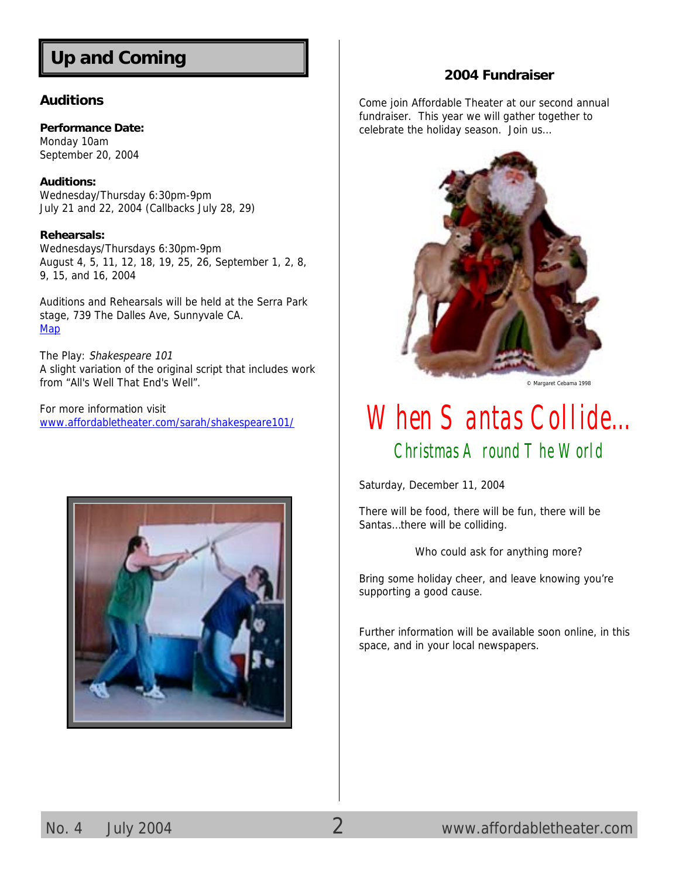# **Up and Coming**

#### **Auditions**

**Performance Date:**  Monday 10am September 20, 2004

**Auditions:**  Wednesday/Thursday 6:30pm-9pm July 21 and 22, 2004 (Callbacks July 28, 29)

#### **Rehearsals:**

Wednesdays/Thursdays 6:30pm-9pm August 4, 5, 11, 12, 18, 19, 25, 26, September 1, 2, 8, 9, 15, and 16, 2004

Auditions and Rehearsals will be held at the Serra Park stage, 739 The Dalles Ave, Sunnyvale CA. **[Map](http://tinyurl.com/258bj)** 

The Play: Shakespeare 101 A slight variation of the original script that includes work from "All's Well That End's Well".

For more information visit [www.affordabletheater.com/sarah/shakespeare101/](http://www.affordabletheater.com/sarah/shakespeare101/)



### **2004 Fundraiser**

Come join Affordable Theater at our second annual fundraiser. This year we will gather together to celebrate the holiday season. Join us…



© Margaret Cebama 1998

# When Santas Collide… Christmas Around The World

Saturday, December 11, 2004

There will be food, there will be fun, there will be Santas…there will be colliding.

Who could ask for anything more?

Bring some holiday cheer, and leave knowing you're supporting a good cause.

Further information will be available soon online, in this space, and in your local newspapers.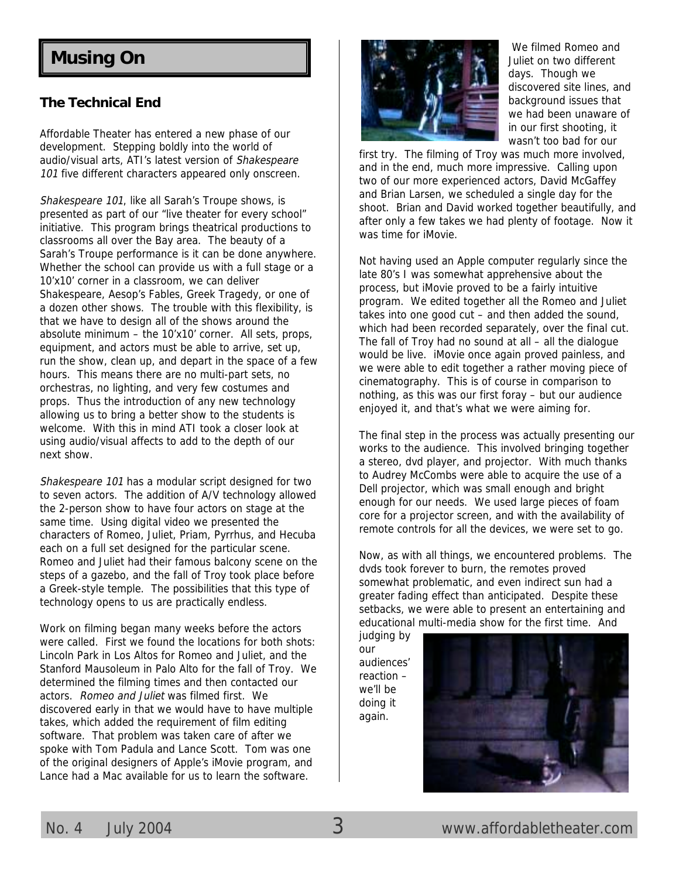# **Musing On**

#### **The Technical End**

Affordable Theater has entered a new phase of our development. Stepping boldly into the world of audio/visual arts, ATI's latest version of Shakespeare 101 five different characters appeared only onscreen.

Shakespeare 101, like all Sarah's Troupe shows, is presented as part of our "live theater for every school" initiative. This program brings theatrical productions to classrooms all over the Bay area. The beauty of a Sarah's Troupe performance is it can be done anywhere. Whether the school can provide us with a full stage or a 10'x10' corner in a classroom, we can deliver Shakespeare, Aesop's Fables, Greek Tragedy, or one of a dozen other shows. The trouble with this flexibility, is that we have to design all of the shows around the absolute minimum – the 10'x10' corner. All sets, props, equipment, and actors must be able to arrive, set up, run the show, clean up, and depart in the space of a few hours. This means there are no multi-part sets, no orchestras, no lighting, and very few costumes and props. Thus the introduction of any new technology allowing us to bring a better show to the students is welcome. With this in mind ATI took a closer look at using audio/visual affects to add to the depth of our next show.

Shakespeare 101 has a modular script designed for two to seven actors. The addition of A/V technology allowed the 2-person show to have four actors on stage at the same time. Using digital video we presented the characters of Romeo, Juliet, Priam, Pyrrhus, and Hecuba each on a full set designed for the particular scene. Romeo and Juliet had their famous balcony scene on the steps of a gazebo, and the fall of Troy took place before a Greek-style temple. The possibilities that this type of technology opens to us are practically endless.

Work on filming began many weeks before the actors were called. First we found the locations for both shots: Lincoln Park in Los Altos for Romeo and Juliet, and the Stanford Mausoleum in Palo Alto for the fall of Troy. We determined the filming times and then contacted our actors. Romeo and Juliet was filmed first. We discovered early in that we would have to have multiple takes, which added the requirement of film editing software. That problem was taken care of after we spoke with Tom Padula and Lance Scott. Tom was one of the original designers of Apple's iMovie program, and Lance had a Mac available for us to learn the software.



 We filmed Romeo and Juliet on two different days. Though we discovered site lines, and background issues that we had been unaware of in our first shooting, it wasn't too bad for our

first try. The filming of Troy was much more involved, and in the end, much more impressive. Calling upon two of our more experienced actors, David McGaffey and Brian Larsen, we scheduled a single day for the shoot. Brian and David worked together beautifully, and after only a few takes we had plenty of footage. Now it was time for iMovie.

Not having used an Apple computer regularly since the late 80's I was somewhat apprehensive about the process, but iMovie proved to be a fairly intuitive program. We edited together all the Romeo and Juliet takes into one good cut – and then added the sound, which had been recorded separately, over the final cut. The fall of Troy had no sound at all – all the dialogue would be live. iMovie once again proved painless, and we were able to edit together a rather moving piece of cinematography. This is of course in comparison to nothing, as this was our first foray – but our audience enjoyed it, and that's what we were aiming for.

The final step in the process was actually presenting our works to the audience. This involved bringing together a stereo, dvd player, and projector. With much thanks to Audrey McCombs were able to acquire the use of a Dell projector, which was small enough and bright enough for our needs. We used large pieces of foam core for a projector screen, and with the availability of remote controls for all the devices, we were set to go.

Now, as with all things, we encountered problems. The dvds took forever to burn, the remotes proved somewhat problematic, and even indirect sun had a greater fading effect than anticipated. Despite these setbacks, we were able to present an entertaining and educational multi-media show for the first time. And

judging by our audiences' reaction – we'll be doing it again.